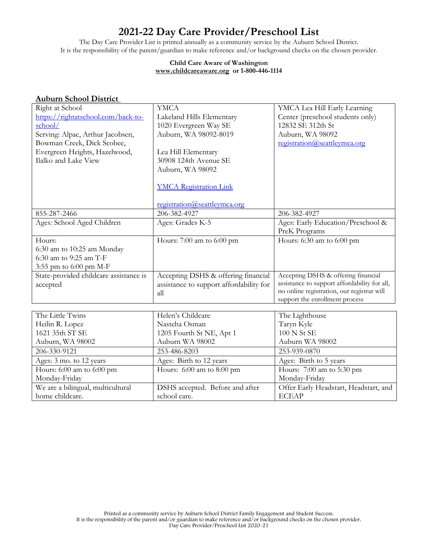# **2021-22 Day Care Provider/Preschool List**

The Day Care Provider List is printed annually as a community service by the Auburn School District. It is the responsibility of the parent/guardian to make reference and/or background checks on the chosen provider.

#### **Child Care Aware of Washington [www.childcareaware.org](http://www.childcareaware.org/) or 1-800-446-1114**

| <b>Auburn School District</b>          |                                         |                                                                                            |
|----------------------------------------|-----------------------------------------|--------------------------------------------------------------------------------------------|
| Right at School                        | <b>YMCA</b>                             | YMCA Lea Hill Early Learning                                                               |
| https://rightatschool.com/back-to-     | Lakeland Hills Elementary               | Center (preschool students only)                                                           |
| school/                                | 1020 Evergreen Way SE                   | 12832 SE 312th St                                                                          |
| Serving: Alpac, Arthur Jacobsen,       | Auburn, WA 98092-8019                   | Auburn, WA 98092                                                                           |
| Bowman Creek, Dick Scobee,             |                                         | registration@seattleymca.org                                                               |
| Evergreen Heights, Hazelwood,          | Lea Hill Elementary                     |                                                                                            |
| Ilalko and Lake View                   | 30908 124th Avenue SE                   |                                                                                            |
|                                        | Auburn, WA 98092                        |                                                                                            |
|                                        |                                         |                                                                                            |
|                                        | <b>YMCA Registration Link</b>           |                                                                                            |
|                                        |                                         |                                                                                            |
|                                        | registration@seattleymca.org            |                                                                                            |
| 855-287-2466                           | 206-382-4927                            | 206-382-4927                                                                               |
| Ages: School Aged Children             | Ages: Grades K-5                        | Ages: Early Education/Preschool &                                                          |
|                                        |                                         | PreK Programs                                                                              |
| Hours:                                 | Hours: 7:00 am to 6:00 pm               | Hours: 6:30 am to 6:00 pm                                                                  |
| 6:30 am to 10:25 am Monday             |                                         |                                                                                            |
| 6:30 am to 9:25 am T-F                 |                                         |                                                                                            |
| 3:55 pm to 6:00 pm M-F                 |                                         |                                                                                            |
| State-provided childcare assistance is | Accepting DSHS & offering financial     | Accepting DSHS & offering financial                                                        |
| accepted                               | assistance to support affordability for | assistance to support affordability for all,<br>no online registration, our registrar will |
|                                        | all                                     | support the enrollment process                                                             |
|                                        |                                         |                                                                                            |
| The Little Twins                       | Helen's Childcare                       | The Lighthouse                                                                             |
| Heilin R. Lopez                        | Nasteha Osman                           | Taryn Kyle                                                                                 |
| 1621 35th ST SE                        | 1205 Fourth St NE, Apt 1                | 100 N St SE                                                                                |
| Auburn, WA 98002                       | Auburn WA 98002                         | Auburn WA 98002                                                                            |
| 206-330-9121                           | 253-486-8203                            | 253-939-0870                                                                               |
| Ages: 3 mo. to 12 years                | Ages: Birth to 12 years                 | Ages: Birth to 5 years                                                                     |
| Hours: 6:00 am to 6:00 pm              | Hours: $6:00$ am to $8:00$ pm           | Hours: 7:00 am to 5:30 pm                                                                  |
| Monday-Friday                          |                                         | Monday-Friday                                                                              |
| We are a bilingual, multicultural      | DSHS accepted. Before and after         | Offer Early Headstart, Headstart, and                                                      |
| home childcare.                        | school care.                            | <b>ECEAP</b>                                                                               |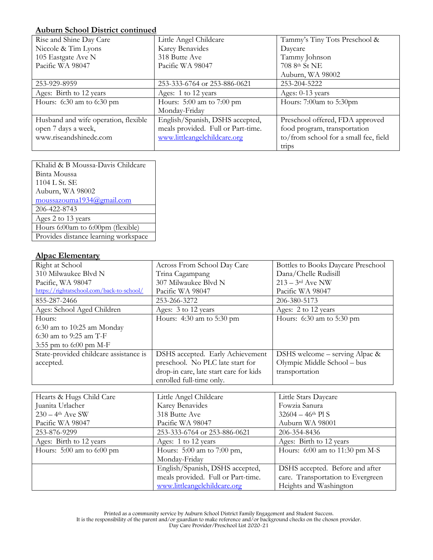#### **Auburn School District continued**

| Rise and Shine Day Care              | Little Angel Childcare             | Tammy's Tiny Tots Preschool &         |
|--------------------------------------|------------------------------------|---------------------------------------|
| Niccole & Tim Lyons                  | Karey Benavides                    | Daycare                               |
| 105 Eastgate Ave N                   | 318 Butte Ave                      | Tammy Johnson                         |
| Pacific WA 98047                     | Pacific WA 98047                   | 708 8th St NE                         |
|                                      |                                    | Auburn, WA 98002                      |
| 253-929-8959                         | 253-333-6764 or 253-886-0621       | 253-204-5222                          |
| Ages: Birth to 12 years              | Ages: 1 to 12 years                | Ages: 0-13 years                      |
| Hours: 6:30 am to 6:30 pm            | Hours: $5:00$ am to $7:00$ pm      | Hours: 7:00am to 5:30pm               |
|                                      | Monday-Friday                      |                                       |
| Husband and wife operation, flexible | English/Spanish, DSHS accepted,    | Preschool offered, FDA approved       |
| open 7 days a week,                  | meals provided. Full or Part-time. | food program, transportation          |
| www.riseandshinedc.com               | www.littleangelchildcare.org       | to/from school for a small fee, field |
|                                      |                                    | trips                                 |

| Khalid & B Moussa-Davis Childcare    |
|--------------------------------------|
| Binta Moussa                         |
| 1104 L St. SE                        |
| Auburn, WA 98002                     |
| moussazouma1934@gmail.com            |
| 206-422-8743                         |
| Ages 2 to 13 years                   |
| Hours 6:00am to 6:00pm (flexible)    |
| Provides distance learning workspace |

#### **Alpac Elementary**

| Right at School                           | Across From School Day Care            | Bottles to Books Daycare Preschool |
|-------------------------------------------|----------------------------------------|------------------------------------|
| 310 Milwaukee Blvd N                      | Trina Cagampang                        | Dana/Chelle Rudisill               |
| Pacific, WA 98047                         | 307 Milwaukee Blvd N                   | $213 - 3$ <sup>rd</sup> Ave NW     |
| https://rightatschool.com/back-to-school/ | Pacific WA 98047                       | Pacific WA 98047                   |
| 855-287-2466                              | 253-266-3272                           | 206-380-5173                       |
| Ages: School Aged Children                | Ages: 3 to 12 years                    | Ages: 2 to 12 years                |
| Hours:                                    | Hours: 4:30 am to 5:30 pm              | Hours: $6:30$ am to $5:30$ pm      |
| 6:30 am to 10:25 am Monday                |                                        |                                    |
| 6:30 am to 9:25 am T-F                    |                                        |                                    |
| 3:55 pm to 6:00 pm M-F                    |                                        |                                    |
| State-provided childcare assistance is    | DSHS accepted. Early Achievement       | DSHS welcome - serving Alpac &     |
| accepted.                                 | preschool. No PLC late start for       | Olympic Middle School - bus        |
|                                           | drop-in care, late start care for kids | transportation                     |
|                                           | enrolled full-time only.               |                                    |
|                                           |                                        |                                    |
| Hearts & Hugs Child Care                  | Little Angel Childcare                 | Little Stars Daycare               |
| Juanita Urlacher                          | Karey Benavides                        | Fowzia Sanura                      |
| $230 - 4$ <sup>th</sup> Ave SW            | 318 Butte Ave                          | $32604 - 46$ <sup>th</sup> Pl S    |
| Pacific WA 98047                          | Pacific WA 98047                       | Auburn WA 98001                    |
| 253-876-9299                              | 253-333-6764 or 253-886-0621           | 206-354-8436                       |
| Ages: Birth to 12 years                   | Ages: 1 to 12 years                    | Ages: Birth to 12 years            |
| Hours: 5:00 am to 6:00 pm                 | Hours: 5:00 am to 7:00 pm,             | Hours: 6:00 am to 11:30 pm M-S     |
|                                           | Monday-Friday                          |                                    |
|                                           | English/Spanish, DSHS accepted,        | DSHS accepted. Before and after    |
|                                           | meals provided. Full or Part-time.     | care. Transportation to Evergreen  |
|                                           | www.littleangelchildcare.org           | Heights and Washington             |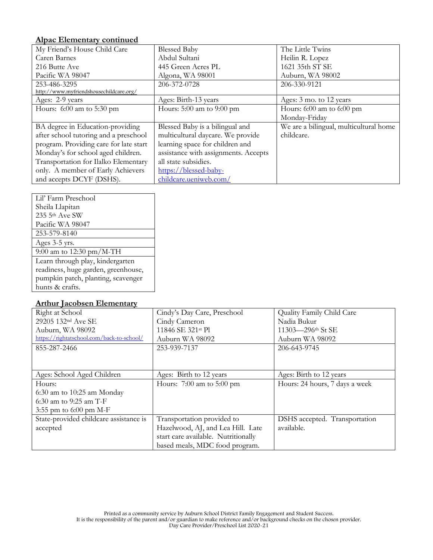## **Alpac Elementary continued**

| My Friend's House Child Care            | <b>Blessed Baby</b>                  | The Little Twins                       |
|-----------------------------------------|--------------------------------------|----------------------------------------|
| Caren Barnes                            | Abdul Sultani                        | Heilin R. Lopez                        |
| 216 Butte Ave                           | 445 Green Acres PL                   | 1621 35th ST SE                        |
| Pacific WA 98047                        | Algona, WA 98001                     | Auburn, WA 98002                       |
| 253-486-3295                            | 206-372-0728                         | 206-330-9121                           |
| http://www.myfriendshousechildcare.org/ |                                      |                                        |
| Ages: 2-9 years                         | Ages: Birth-13 years                 | Ages: 3 mo. to 12 years                |
| Hours: $6:00$ am to $5:30$ pm           | Hours: 5:00 am to 9:00 pm            | Hours: $6:00$ am to $6:00$ pm          |
|                                         |                                      | Monday-Friday                          |
| BA degree in Education-providing        | Blessed Baby is a bilingual and      | We are a bilingual, multicultural home |
| after school tutoring and a preschool   | multicultural daycare. We provide    | childcare.                             |
| program. Providing care for late start  | learning space for children and      |                                        |
| Monday's for school aged children.      | assistance with assignments. Accepts |                                        |
| Transportation for Ilalko Elementary    | all state subsidies.                 |                                        |
| only. A member of Early Achievers       | https://blessed-baby-                |                                        |
| and accepts DCYF (DSHS).                | childcare.ueniweb.com/               |                                        |

| Lil' Farm Preschool                 |
|-------------------------------------|
| Sheila Llapitan                     |
| 235 5th Ave SW                      |
| Pacific WA 98047                    |
| 253-579-8140                        |
| Ages 3-5 yrs.                       |
| 9:00 am to 12:30 pm/M-TH            |
| Learn through play, kindergarten    |
| readiness, huge garden, greenhouse, |
| pumpkin patch, planting, scavenger  |
| hunts & crafts.                     |

#### **Arthur Jacobsen Elementary**

| Right at School                           | Cindy's Day Care, Preschool         | Quality Family Child Care      |
|-------------------------------------------|-------------------------------------|--------------------------------|
| 29205 132 <sup>nd</sup> Ave SE            | Cindy Cameron                       | Nadia Bukur                    |
| Auburn, WA 98092                          | 11846 SE 321st Pl                   | 11303-296th St SE              |
| https://rightatschool.com/back-to-school/ | Auburn WA 98092                     | Auburn WA 98092                |
| 855-287-2466                              | 253-939-7137                        | 206-643-9745                   |
|                                           |                                     |                                |
|                                           |                                     |                                |
| Ages: School Aged Children                | Ages: Birth to 12 years             | Ages: Birth to 12 years        |
| Hours:                                    | Hours: $7:00$ am to $5:00$ pm       | Hours: 24 hours, 7 days a week |
| $6:30$ am to 10:25 am Monday              |                                     |                                |
| 6:30 am to 9:25 am T-F                    |                                     |                                |
| 3:55 pm to $6:00$ pm M-F                  |                                     |                                |
| State-provided childcare assistance is    | Transportation provided to          | DSHS accepted. Transportation  |
| accepted                                  | Hazelwood, AJ, and Lea Hill. Late   | available.                     |
|                                           | start care available. Nutritionally |                                |
|                                           | based meals, MDC food program.      |                                |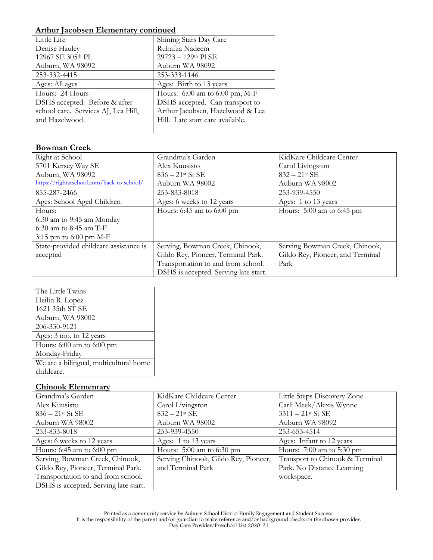#### **Arthur Jacobsen Elementary continued**

| Little Life                         | Shining Stars Day Care             |
|-------------------------------------|------------------------------------|
| Denise Hauley                       | Ruhafza Nadeem                     |
| 12967 SE 305th PL                   | $29723 - 129$ <sup>th</sup> Pl SE  |
| Auburn, WA 98092                    | Auburn WA 98092                    |
| 253-332-4415                        | 253-333-1146                       |
| Ages: All ages                      | Ages: Birth to 13 years            |
| Hours: 24 Hours                     | Hours: $6:00$ am to $6:00$ pm, M-F |
| DSHS accepted. Before & after       | DSHS accepted. Can transport to    |
| school care. Services AJ, Lea Hill, | Arthur Jacobsen, Hazelwood & Lea   |
| and Hazelwood.                      | Hill. Late start care available.   |
|                                     |                                    |

## **Bowman Creek**

| Right at School                           | Grandma's Garden                      | KidKare Childcare Center         |
|-------------------------------------------|---------------------------------------|----------------------------------|
| 5701 Kersey Way SE                        | Alex Kuusisto                         | Carol Livingston                 |
| Auburn, WA 98092                          | $836 - 21$ <sup>st</sup> St SE        | $832 - 21$ st SE                 |
| https://rightatschool.com/back-to-school/ | Auburn WA 98002                       | Auburn WA 98002                  |
| 855-287-2466                              | 253-833-8018                          | 253-939-4550                     |
| Ages: School Aged Children                | Ages: 6 weeks to 12 years             | Ages: 1 to 13 years              |
| Hours:                                    | Hours: $6:45$ am to $6:00$ pm         | Hours: $5:00$ am to 6:45 pm      |
| $6:30$ am to 9:45 am Monday               |                                       |                                  |
| 6:30 am to 8:45 am $T-F$                  |                                       |                                  |
| 3:15 pm to $6:00$ pm M-F                  |                                       |                                  |
| State-provided childcare assistance is    | Serving, Bowman Creek, Chinook,       | Serving Bowman Creek, Chinook,   |
| accepted                                  | Gildo Rey, Pioneer, Terminal Park.    | Gildo Rey, Pioneer, and Terminal |
|                                           | Transportation to and from school.    | Park                             |
|                                           | DSHS is accepted. Serving late start. |                                  |

| The Little Twins                       |
|----------------------------------------|
| Heilin R. Lopez                        |
| 1621 35th ST SE                        |
| Auburn, WA 98002                       |
| 206-330-9121                           |
| Ages: 3 mo. to 12 years                |
| Hours: 6:00 am to 6:00 pm              |
| Monday-Friday                          |
| We are a bilingual, multicultural home |
| childcare.                             |

## **Chinook Elementary**

| Grandma's Garden                      | KidKare Childcare Center             | Little Steps Discovery Zone     |
|---------------------------------------|--------------------------------------|---------------------------------|
| Alex Kuusisto                         | Carol Livingston                     | Carli Meek/Alexis Wynne         |
| $836 - 21$ <sup>st</sup> St SE        | $832 - 21$ <sup>st</sup> SE          | $3311 - 21$ st St SE            |
| Auburn WA 98002                       | Auburn WA 98002                      | Auburn WA 98092                 |
| 253-833-8018                          | 253-939-4550                         | 253-653-4514                    |
| Ages: 6 weeks to 12 years             | Ages: 1 to 13 years                  | Ages: Infant to 12 years        |
| Hours: $6:45$ am to $6:00$ pm         | Hours: 5:00 am to 6:30 pm            | Hours: $7:00$ am to $5:30$ pm   |
| Serving, Bowman Creek, Chinook,       | Serving Chinook, Gildo Rey, Pioneer, | Transport to Chinook & Terminal |
| Gildo Rey, Pioneer, Terminal Park.    | and Terminal Park                    | Park. No Distance Learning      |
| Transportation to and from school.    |                                      | workspace.                      |
| DSHS is accepted. Serving late start. |                                      |                                 |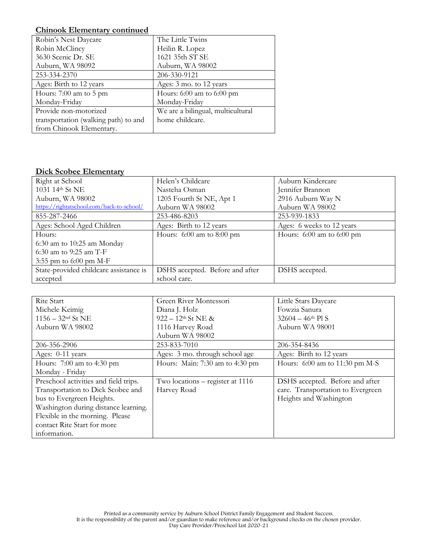#### **Chinook Elementary continued**

| Robin's Nest Daycare                 | The Little Twins                  |
|--------------------------------------|-----------------------------------|
| Robin McClincy                       | Heilin R. Lopez                   |
| 3630 Scenic Dr. SE                   | 1621 35th ST SE                   |
| Auburn, WA 98092                     | Auburn, WA 98002                  |
| 253-334-2370                         | 206-330-9121                      |
| Ages: Birth to 12 years              | Ages: 3 mo. to 12 years           |
| Hours: $7:00$ am to $5$ pm           | Hours: $6:00$ am to $6:00$ pm     |
| Monday-Friday                        | Monday-Friday                     |
| Provide non-motorized                | We are a bilingual, multicultural |
| transportation (walking path) to and | home childcare.                   |
| from Chinook Elementary.             |                                   |

#### **Dick Scobee Elementary**

| Right at School                           | Helen's Childcare               | Auburn Kindercare             |
|-------------------------------------------|---------------------------------|-------------------------------|
| 1031 14th St NE                           | Nasteha Osman                   | Jennifer Brannon              |
| Auburn, WA 98002                          | 1205 Fourth St NE, Apt 1        | 2916 Auburn Way N             |
| https://rightatschool.com/back-to-school/ | Auburn WA 98002                 | Auburn WA 98002               |
| 855-287-2466                              | 253-486-8203                    | 253-939-1833                  |
| Ages: School Aged Children                | Ages: Birth to 12 years         | Ages: 6 weeks to 12 years     |
| Hours:                                    | Hours: $6:00$ am to $8:00$ pm   | Hours: $6:00$ am to $6:00$ pm |
| $6:30$ am to 10:25 am Monday              |                                 |                               |
| $6:30$ am to 9:25 am T-F                  |                                 |                               |
| 3:55 pm to 6:00 pm M-F                    |                                 |                               |
| State-provided childcare assistance is    | DSHS accepted. Before and after | DSHS accepted.                |
| accepted                                  | school care.                    |                               |

| Rite Start                            | Green River Montessori           | Little Stars Daycare              |
|---------------------------------------|----------------------------------|-----------------------------------|
| Michele Keimig                        | Diana J. Holz                    | Fowzia Sanura                     |
| $1156 - 32$ <sup>nd</sup> St NE       | $922 - 12$ <sup>th</sup> St NE & | $32604 - 46$ <sup>th</sup> Pl S   |
| Auburn WA 98002                       | 1116 Harvey Road                 | Auburn WA 98001                   |
|                                       | Auburn WA 98002                  |                                   |
| 206-356-2906                          | 253-833-7010                     | 206-354-8436                      |
| Ages: 0-11 years                      | Ages: 3 mo. through school age   | Ages: Birth to 12 years           |
| Hours: $7:00$ am to 4:30 pm           | Hours: Main: 7:30 am to 4:30 pm  | Hours: $6:00$ am to 11:30 pm M-S  |
| Monday - Friday                       |                                  |                                   |
| Preschool activities and field trips. | Two locations – register at 1116 | DSHS accepted. Before and after   |
| Transportation to Dick Scobee and     | Harvey Road                      | care. Transportation to Evergreen |
| bus to Evergreen Heights.             |                                  | Heights and Washington            |
| Washington during distance learning.  |                                  |                                   |
| Flexible in the morning. Please       |                                  |                                   |
| contact Rite Start for more           |                                  |                                   |
| information.                          |                                  |                                   |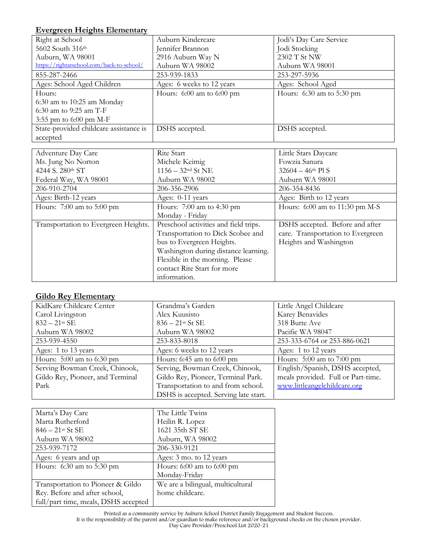# **Evergreen Heights Elementary**

| <u>Evergreen Heights Eichiehtary</u>      |                                       |                                   |
|-------------------------------------------|---------------------------------------|-----------------------------------|
| Right at School                           | Auburn Kindercare                     | Jodi's Day Care Service           |
| 5602 South 316th                          | Jennifer Brannon                      | Jodi Stocking                     |
| Auburn, WA 98001                          | 2916 Auburn Way N                     | 2302 T St NW                      |
| https://rightatschool.com/back-to-school/ | Auburn WA 98002                       | Auburn WA 98001                   |
| 855-287-2466                              | 253-939-1833                          | 253-297-5936                      |
| Ages: School Aged Children                | Ages: 6 weeks to 12 years             | Ages: School Aged                 |
| Hours:                                    | Hours: 6:00 am to 6:00 pm             | Hours: 6:30 am to 5:30 pm         |
| $6:30$ am to $10:25$ am Monday            |                                       |                                   |
| $6:30$ am to 9:25 am T-F                  |                                       |                                   |
| 3:55 pm to 6:00 pm M-F                    |                                       |                                   |
| State-provided childcare assistance is    | DSHS accepted.                        | DSHS accepted.                    |
| accepted                                  |                                       |                                   |
|                                           |                                       |                                   |
| Adventure Day Care                        | Rite Start                            | Little Stars Daycare              |
| Ms. Jung No Norton                        | Michele Keimig                        | Fowzia Sanura                     |
| 4244 S. 280th ST                          | $1156 - 32$ <sup>nd</sup> St NE       | $32604 - 46$ <sup>th</sup> Pl S   |
| Federal Way, WA 98001                     | Auburn WA 98002                       | Auburn WA 98001                   |
| 206-910-2704                              | 206-356-2906                          | 206-354-8436                      |
| Ages: Birth-12 years                      | Ages: 0-11 years                      | Ages: Birth to 12 years           |
| Hours: 7:00 am to 5:00 pm                 | Hours: 7:00 am to 4:30 pm             | Hours: 6:00 am to 11:30 pm M-S    |
|                                           | Monday - Friday                       |                                   |
| Transportation to Evergreen Heights.      | Preschool activities and field trips. | DSHS accepted. Before and after   |
|                                           | Transportation to Dick Scobee and     | care. Transportation to Evergreen |
|                                           | bus to Evergreen Heights.             | Heights and Washington            |
|                                           | Washington during distance learning.  |                                   |
|                                           | Flexible in the morning. Please       |                                   |
|                                           | contact Rite Start for more           |                                   |

## **Gildo Rey Elementary**

| KidKare Childcare Center         | Grandma's Garden                      | Little Angel Childcare             |
|----------------------------------|---------------------------------------|------------------------------------|
| Carol Livingston                 | Alex Kuusisto                         | Karey Benavides                    |
| $832 - 21$ <sup>st</sup> SE      | $836 - 21$ <sup>st</sup> St SE        | 318 Butte Ave                      |
| Auburn WA 98002                  | Auburn WA 98002                       | Pacific WA 98047                   |
| 253-939-4550                     | 253-833-8018                          | 253-333-6764 or 253-886-0621       |
| Ages: 1 to 13 years              | Ages: 6 weeks to 12 years             | Ages: 1 to 12 years                |
| Hours: 5:00 am to 6:30 pm        | Hours: 6:45 am to 6:00 pm             | Hours: $5:00$ am to $7:00$ pm      |
| Serving Bowman Creek, Chinook,   | Serving, Bowman Creek, Chinook,       | English/Spanish, DSHS accepted,    |
| Gildo Rey, Pioneer, and Terminal | Gildo Rey, Pioneer, Terminal Park.    | meals provided. Full or Part-time. |
| Park                             | Transportation to and from school.    | www.littleangelchildcare.org       |
|                                  | DSHS is accepted. Serving late start. |                                    |

information.

| Marta's Day Care                     | The Little Twins                  |
|--------------------------------------|-----------------------------------|
| Marta Rutherford                     | Heilin R. Lopez                   |
| $846 - 21$ <sup>st</sup> St SE       | 1621 35th ST SE                   |
| Auburn WA 98002                      | Auburn, WA 98002                  |
| 253-939-7172                         | 206-330-9121                      |
| Ages: 6 years and up                 | Ages: 3 mo. to 12 years           |
| Hours: $6:30$ am to $5:30$ pm        | Hours: $6:00$ am to $6:00$ pm     |
|                                      | Monday-Friday                     |
| Transportation to Pioneer & Gildo    | We are a bilingual, multicultural |
| Rey. Before and after school,        | home childcare.                   |
| full/part time, meals, DSHS accepted |                                   |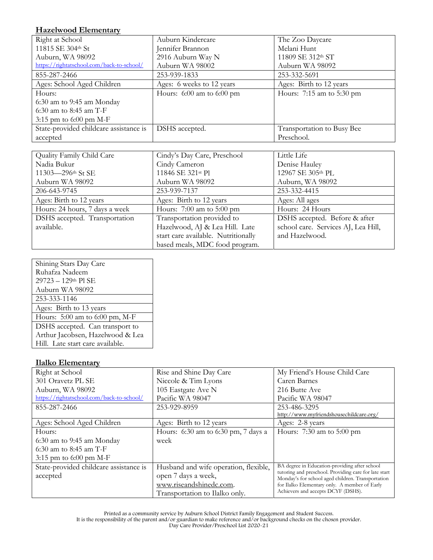#### **Hazelwood Elementary**

| Right at School                           | Auburn Kindercare             | The Zoo Daycare               |
|-------------------------------------------|-------------------------------|-------------------------------|
| 11815 SE 304th St                         | Jennifer Brannon              | Melani Hunt                   |
| Auburn, WA 98092                          | 2916 Auburn Way N             | 11809 SE 312th ST             |
| https://rightatschool.com/back-to-school/ | Auburn WA 98002               | Auburn WA 98092               |
| 855-287-2466                              | 253-939-1833                  | 253-332-5691                  |
| Ages: School Aged Children                | Ages: 6 weeks to 12 years     | Ages: Birth to 12 years       |
| Hours:                                    | Hours: $6:00$ am to $6:00$ pm | Hours: $7:15$ am to $5:30$ pm |
| $6:30$ am to 9:45 am Monday               |                               |                               |
| 6:30 am to 8:45 am $T-F$                  |                               |                               |
| 3:15 pm to $6:00$ pm M-F                  |                               |                               |
| State-provided childcare assistance is    | DSHS accepted.                | Transportation to Busy Bee    |
| accepted                                  |                               | Preschool.                    |

| Quality Family Child Care      | Cindy's Day Care, Preschool         | Little Life                         |
|--------------------------------|-------------------------------------|-------------------------------------|
| Nadia Bukur                    | Cindy Cameron                       | Denise Hauley                       |
| 11303-296th St SE              | 11846 SE 321st Pl                   | 12967 SE 305th PL                   |
| Auburn WA 98092                | Auburn WA 98092                     | Auburn, WA 98092                    |
| 206-643-9745                   | 253-939-7137                        | 253-332-4415                        |
| Ages: Birth to 12 years        | Ages: Birth to 12 years             | Ages: All ages                      |
| Hours: 24 hours, 7 days a week | Hours: $7:00$ am to $5:00$ pm       | Hours: 24 Hours                     |
| DSHS accepted. Transportation  | Transportation provided to          | DSHS accepted. Before & after       |
| available.                     | Hazelwood, AJ & Lea Hill. Late      | school care. Services AJ, Lea Hill, |
|                                | start care available. Nutritionally | and Hazelwood.                      |
|                                | based meals, MDC food program.      |                                     |

| Shining Stars Day Care           |
|----------------------------------|
| Ruhafza Nadeem                   |
| 29723 - 129th Pl SE              |
| Auburn WA 98092                  |
| 253-333-1146                     |
| Ages: Birth to 13 years          |
| Hours: 5:00 am to 6:00 pm, M-F   |
| DSHS accepted. Can transport to  |
| Arthur Jacobsen, Hazelwood & Lea |
| Hill. Late start care available. |
|                                  |

## **Ilalko Elementary**

| Right at School                           | Rise and Shine Day Care               | My Friend's House Child Care                                                                               |
|-------------------------------------------|---------------------------------------|------------------------------------------------------------------------------------------------------------|
| 301 Oravetz PL SE                         | Niccole & Tim Lyons                   | Caren Barnes                                                                                               |
| Auburn, WA 98092                          | 105 Eastgate Ave N                    | 216 Butte Ave                                                                                              |
| https://rightatschool.com/back-to-school/ | Pacific WA 98047                      | Pacific WA 98047                                                                                           |
| 855-287-2466                              | 253-929-8959                          | 253-486-3295                                                                                               |
|                                           |                                       | http://www.myfriendshousechildcare.org/                                                                    |
| Ages: School Aged Children                | Ages: Birth to 12 years               | Ages: 2-8 years                                                                                            |
| Hours:                                    | Hours: 6:30 am to 6:30 pm, 7 days a   | Hours: $7:30$ am to $5:00$ pm                                                                              |
| $6:30$ am to 9:45 am Monday               | week                                  |                                                                                                            |
| 6:30 am to 8:45 am T-F                    |                                       |                                                                                                            |
| 3:15 pm to $6:00$ pm M-F                  |                                       |                                                                                                            |
| State-provided childcare assistance is    | Husband and wife operation, flexible, | BA degree in Education-providing after school                                                              |
| accepted                                  | open 7 days a week,                   | tutoring and preschool. Providing care for late start<br>Monday's for school aged children. Transportation |
|                                           | www.riseandshinedc.com.               | for Ilalko Elementary only. A member of Early                                                              |
|                                           | Transportation to Ilalko only.        | Achievers and accepts DCYF (DSHS).                                                                         |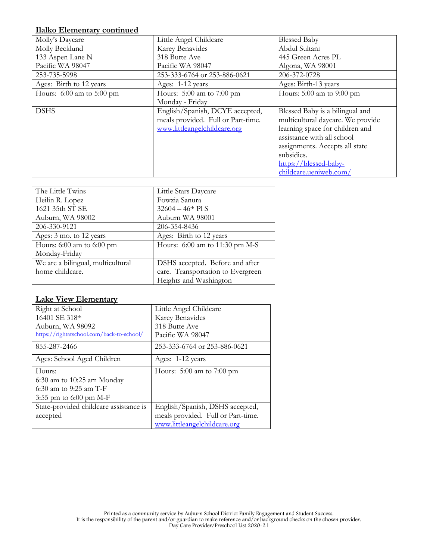#### **Ilalko Elementary continued**

| Molly's Daycare               | Little Angel Childcare             | <b>Blessed Baby</b>               |
|-------------------------------|------------------------------------|-----------------------------------|
| Molly Becklund                | Karey Benavides                    | Abdul Sultani                     |
| 133 Aspen Lane N              | 318 Butte Ave                      | 445 Green Acres PL                |
| Pacific WA 98047              | Pacific WA 98047                   | Algona, WA 98001                  |
| 253-735-5998                  | 253-333-6764 or 253-886-0621       | 206-372-0728                      |
| Ages: Birth to 12 years       | Ages: 1-12 years                   | Ages: Birth-13 years              |
| Hours: $6:00$ am to $5:00$ pm | Hours: $5:00$ am to $7:00$ pm      | Hours: $5:00$ am to $9:00$ pm     |
|                               | Monday - Friday                    |                                   |
| <b>DSHS</b>                   | English/Spanish, DCYE accepted,    | Blessed Baby is a bilingual and   |
|                               | meals provided. Full or Part-time. | multicultural daycare. We provide |
|                               | www.littleangelchildcare.org       | learning space for children and   |
|                               |                                    | assistance with all school        |
|                               |                                    | assignments. Accepts all state    |
|                               |                                    | subsidies.                        |
|                               |                                    | https://blessed-baby-             |
|                               |                                    | childcare.ueniweb.com/            |

| The Little Twins                  | Little Stars Daycare              |
|-----------------------------------|-----------------------------------|
| Heilin R. Lopez                   | Fowzia Sanura                     |
| 1621 35th ST SE                   | $32604 - 46$ <sup>th</sup> Pl S   |
| Auburn, WA 98002                  | Auburn WA 98001                   |
| 206-330-9121                      | 206-354-8436                      |
| Ages: 3 mo. to 12 years           | Ages: Birth to 12 years           |
| Hours: $6:00$ am to $6:00$ pm     | Hours: $6:00$ am to 11:30 pm M-S  |
| Monday-Friday                     |                                   |
| We are a bilingual, multicultural | DSHS accepted. Before and after   |
| home childcare.                   | care. Transportation to Evergreen |
|                                   | Heights and Washington            |

## **Lake View Elementary**

| Right at School                           | Little Angel Childcare             |
|-------------------------------------------|------------------------------------|
| 16401 SE 318th                            | Karey Benavides                    |
| Auburn, WA 98092                          | 318 Butte Ave                      |
| https://rightatschool.com/back-to-school/ | Pacific WA 98047                   |
| 855-287-2466                              | 253-333-6764 or 253-886-0621       |
| Ages: School Aged Children                | Ages: 1-12 years                   |
| Hours:                                    | Hours: $5:00$ am to $7:00$ pm      |
| $6:30$ am to 10:25 am Monday              |                                    |
| $6:30$ am to 9:25 am T-F                  |                                    |
| 3:55 pm to $6:00$ pm M-F                  |                                    |
| State-provided childcare assistance is    | English/Spanish, DSHS accepted,    |
| accepted                                  | meals provided. Full or Part-time. |
|                                           | www.littleangelchildcare.org       |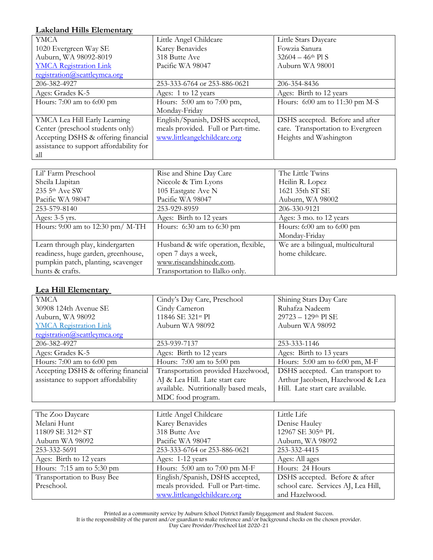# **Lakeland Hills Elementary**

| <b>YMCA</b>                             | Little Angel Childcare             | Little Stars Daycare              |
|-----------------------------------------|------------------------------------|-----------------------------------|
| 1020 Evergreen Way SE                   | Karey Benavides                    | Fowzia Sanura                     |
| Auburn, WA 98092-8019                   | 318 Butte Ave                      | $32604 - 46$ <sup>th</sup> Pl S   |
| <b>YMCA</b> Registration Link           | Pacific WA 98047                   | Auburn WA 98001                   |
| registration@seattleymca.org            |                                    |                                   |
| 206-382-4927                            | 253-333-6764 or 253-886-0621       | 206-354-8436                      |
| Ages: Grades K-5                        | Ages: 1 to 12 years                | Ages: Birth to 12 years           |
| Hours: $7:00$ am to $6:00$ pm           | Hours: 5:00 am to 7:00 pm,         | Hours: $6:00$ am to 11:30 pm M-S  |
|                                         | Monday-Friday                      |                                   |
| YMCA Lea Hill Early Learning            | English/Spanish, DSHS accepted,    | DSHS accepted. Before and after   |
| Center (preschool students only)        | meals provided. Full or Part-time. | care. Transportation to Evergreen |
| Accepting DSHS & offering financial     | www.littleangelchildcare.org       | Heights and Washington            |
| assistance to support affordability for |                                    |                                   |
| all                                     |                                    |                                   |

| Lil' Farm Preschool                 | Rise and Shine Day Care             | The Little Twins                  |
|-------------------------------------|-------------------------------------|-----------------------------------|
| Sheila Llapitan                     | Niccole & Tim Lyons                 | Heilin R. Lopez                   |
| 235 5th Ave SW                      | 105 Eastgate Ave N                  | 1621 35th ST SE                   |
| Pacific WA 98047                    | Pacific WA 98047                    | Auburn, WA 98002                  |
| 253-579-8140                        | 253-929-8959                        | 206-330-9121                      |
| Ages: $3-5$ yrs.                    | Ages: Birth to 12 years             | Ages: 3 mo. to 12 years           |
| Hours: 9:00 am to 12:30 pm/ M-TH    | Hours: $6:30$ am to $6:30$ pm       | Hours: $6:00$ am to $6:00$ pm     |
|                                     |                                     | Monday-Friday                     |
| Learn through play, kindergarten    | Husband & wife operation, flexible, | We are a bilingual, multicultural |
| readiness, huge garden, greenhouse, | open 7 days a week,                 | home childcare.                   |
| pumpkin patch, planting, scavenger  | www.riseandshinedc.com.             |                                   |
| hunts & crafts.                     | Transportation to Ilalko only.      |                                   |

#### **Lea Hill Elementary**

| YMCA                                | Cindy's Day Care, Preschool           | Shining Stars Day Care             |
|-------------------------------------|---------------------------------------|------------------------------------|
| 30908 124th Avenue SE               | Cindy Cameron                         | Ruhafza Nadeem                     |
| Auburn, WA 98092                    | 11846 SE 321st Pl                     | $29723 - 129$ <sup>th</sup> Pl SE  |
| <b>YMCA</b> Registration Link       | Auburn WA 98092                       | Auburn WA 98092                    |
| registration@seattleymca.org        |                                       |                                    |
| 206-382-4927                        | 253-939-7137                          | 253-333-1146                       |
| Ages: Grades K-5                    | Ages: Birth to 12 years               | Ages: Birth to 13 years            |
| Hours: $7:00$ am to $6:00$ pm       | Hours: $7:00$ am to $5:00$ pm         | Hours: $5:00$ am to $6:00$ pm, M-F |
| Accepting DSHS & offering financial | Transportation provided Hazelwood,    | DSHS accepted. Can transport to    |
| assistance to support affordability | AJ & Lea Hill. Late start care        | Arthur Jacobsen, Hazelwood & Lea   |
|                                     | available. Nutritionally based meals, | Hill. Late start care available.   |
|                                     | MDC food program.                     |                                    |

| The Zoo Daycare            | Little Angel Childcare             | Little Life                         |
|----------------------------|------------------------------------|-------------------------------------|
| Melani Hunt                | Karey Benavides                    | Denise Hauley                       |
| 11809 SE 312th ST          | 318 Butte Ave                      | 12967 SE 305th PL                   |
| Auburn WA 98092            | Pacific WA 98047                   | Auburn, WA 98092                    |
| 253-332-5691               | 253-333-6764 or 253-886-0621       | 253-332-4415                        |
| Ages: Birth to 12 years    | Ages: 1-12 years                   | Ages: All ages                      |
| Hours: 7:15 am to 5:30 pm  | Hours: $5:00$ am to $7:00$ pm M-F  | Hours: 24 Hours                     |
| Transportation to Busy Bee | English/Spanish, DSHS accepted,    | DSHS accepted. Before & after       |
| Preschool.                 | meals provided. Full or Part-time. | school care. Services AJ, Lea Hill, |
|                            | www.littleangelchildcare.org       | and Hazelwood.                      |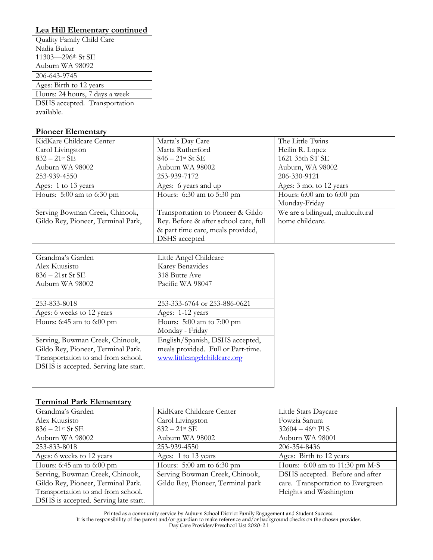# **Lea Hill Elementary continued**

| Quality Family Child Care      |
|--------------------------------|
| Nadia Bukur                    |
| 11303-296th St SE              |
| Auburn WA 98092                |
| 206-643-9745                   |
| Ages: Birth to 12 years        |
| Hours: 24 hours, 7 days a week |
| DSHS accepted. Transportation  |
| available.                     |

#### **Pioneer Elementary**

| KidKare Childcare Center           | Marta's Day Care                      | The Little Twins                  |
|------------------------------------|---------------------------------------|-----------------------------------|
| Carol Livingston                   | Marta Rutherford                      | Heilin R. Lopez                   |
| $832 - 21$ st SE                   | $846 - 21$ <sup>st</sup> St SE        | 1621 35th ST SE                   |
| Auburn WA 98002                    | Auburn WA 98002                       | Auburn, WA 98002                  |
| 253-939-4550                       | 253-939-7172                          | 206-330-9121                      |
| Ages: 1 to 13 years                | Ages: 6 years and up                  | Ages: 3 mo. to 12 years           |
| Hours: $5:00$ am to 6:30 pm        | Hours: $6:30$ am to $5:30$ pm         | Hours: $6:00$ am to $6:00$ pm     |
|                                    |                                       | Monday-Friday                     |
| Serving Bowman Creek, Chinook,     | Transportation to Pioneer & Gildo     | We are a bilingual, multicultural |
| Gildo Rey, Pioneer, Terminal Park, | Rey. Before & after school care, full | home childcare.                   |
|                                    | & part time care, meals provided,     |                                   |
|                                    | DSHS accepted                         |                                   |

| Grandma's Garden                      | Little Angel Childcare             |
|---------------------------------------|------------------------------------|
| Alex Kuusisto                         | Karey Benavides                    |
| $836 - 21st$ St SE                    | 318 Butte Ave                      |
| Auburn WA 98002                       | Pacific WA 98047                   |
|                                       |                                    |
| 253-833-8018                          | 253-333-6764 or 253-886-0621       |
| Ages: 6 weeks to 12 years             | Ages: 1-12 years                   |
| Hours: 6:45 am to 6:00 pm             | Hours: $5:00$ am to $7:00$ pm      |
|                                       | Monday - Friday                    |
| Serving, Bowman Creek, Chinook,       | English/Spanish, DSHS accepted,    |
| Gildo Rey, Pioneer, Terminal Park.    | meals provided. Full or Part-time. |
| Transportation to and from school.    | www.littleangelchildcare.org       |
| DSHS is accepted. Serving late start. |                                    |
|                                       |                                    |
|                                       |                                    |

#### **Terminal Park Elementary**

| 1 Chinima 1 Min Enchichten            |                                   |                                   |
|---------------------------------------|-----------------------------------|-----------------------------------|
| Grandma's Garden                      | KidKare Childcare Center          | Little Stars Daycare              |
| Alex Kuusisto                         | Carol Livingston                  | Fowzia Sanura                     |
| $836 - 21$ <sup>st</sup> St SE        | $832 - 21$ <sup>st</sup> SE       | $32604 - 46$ <sup>th</sup> Pl S   |
| Auburn WA 98002                       | Auburn WA 98002                   | Auburn WA 98001                   |
| 253-833-8018                          | 253-939-4550                      | 206-354-8436                      |
| Ages: 6 weeks to 12 years             | Ages: 1 to 13 years               | Ages: Birth to 12 years           |
| Hours: 6:45 am to 6:00 pm             | Hours: $5:00$ am to $6:30$ pm     | Hours: $6:00$ am to 11:30 pm M-S  |
| Serving, Bowman Creek, Chinook,       | Serving Bowman Creek, Chinook,    | DSHS accepted. Before and after   |
| Gildo Rey, Pioneer, Terminal Park.    | Gildo Rey, Pioneer, Terminal park | care. Transportation to Evergreen |
| Transportation to and from school.    |                                   | Heights and Washington            |
| DSHS is accepted. Serving late start. |                                   |                                   |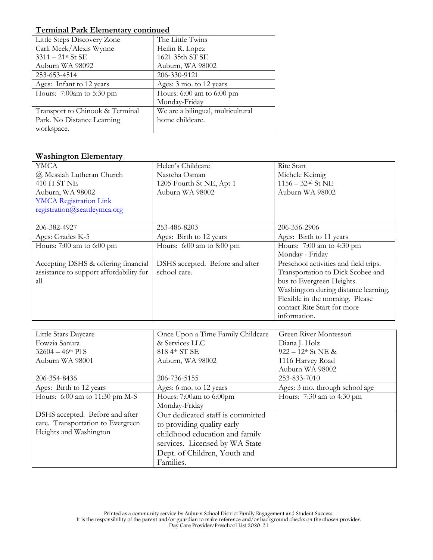## **Terminal Park Elementary continued**

| Little Steps Discovery Zone     | The Little Twins                  |
|---------------------------------|-----------------------------------|
| Carli Meek/Alexis Wynne         | Heilin R. Lopez                   |
| $3311 - 21$ <sup>st</sup> St SE | 1621 35th ST SE                   |
| Auburn WA 98092                 | Auburn, WA 98002                  |
| 253-653-4514                    | 206-330-9121                      |
| Ages: Infant to 12 years        | Ages: 3 mo. to 12 years           |
| Hours: 7:00am to 5:30 pm        | Hours: $6:00$ am to $6:00$ pm     |
|                                 | Monday-Friday                     |
| Transport to Chinook & Terminal | We are a bilingual, multicultural |
| Park. No Distance Learning      | home childcare.                   |
| workspace.                      |                                   |

# **Washington Elementary**

| <b>YMCA</b>                             | Helen's Childcare               | <b>Rite Start</b>                     |
|-----------------------------------------|---------------------------------|---------------------------------------|
| @ Messiah Lutheran Church               | Nasteha Osman                   | Michele Keimig                        |
| 410 H ST NE                             | 1205 Fourth St NE, Apt 1        | $1156 - 32$ <sup>nd</sup> St NE       |
| Auburn, WA 98002                        | Auburn WA 98002                 | Auburn WA 98002                       |
| <b>YMCA Registration Link</b>           |                                 |                                       |
| registration@seattleymca.org            |                                 |                                       |
|                                         |                                 |                                       |
| 206-382-4927                            | 253-486-8203                    | 206-356-2906                          |
| Ages: Grades K-5                        | Ages: Birth to 12 years         | Ages: Birth to 11 years               |
| Hours: 7:00 am to 6:00 pm               | Hours: $6:00$ am to $8:00$ pm   | Hours: 7:00 am to 4:30 pm             |
|                                         |                                 | Monday - Friday                       |
| Accepting DSHS & offering financial     | DSHS accepted. Before and after | Preschool activities and field trips. |
| assistance to support affordability for | school care.                    | Transportation to Dick Scobee and     |
| all                                     |                                 | bus to Evergreen Heights.             |
|                                         |                                 | Washington during distance learning.  |
|                                         |                                 | Flexible in the morning. Please       |
|                                         |                                 | contact Rite Start for more           |
|                                         |                                 | information.                          |

| Little Stars Daycare              | Once Upon a Time Family Childcare | Green River Montessori           |
|-----------------------------------|-----------------------------------|----------------------------------|
| Fowzia Sanura                     | & Services LLC                    | Diana J. Holz                    |
| $32604 - 46$ <sup>th</sup> Pl S   | 818 4th ST SE                     | $922 - 12$ <sup>th</sup> St NE & |
| Auburn WA 98001                   | Auburn, WA 98002                  | 1116 Harvey Road                 |
|                                   |                                   | Auburn WA 98002                  |
| 206-354-8436                      | 206-736-5155                      | 253-833-7010                     |
| Ages: Birth to 12 years           | Ages: 6 mo. to 12 years           | Ages: 3 mo. through school age   |
| Hours: $6:00$ am to 11:30 pm M-S  | Hours: 7:00am to 6:00pm           | Hours: 7:30 am to 4:30 pm        |
|                                   | Monday-Friday                     |                                  |
| DSHS accepted. Before and after   | Our dedicated staff is committed  |                                  |
| care. Transportation to Evergreen | to providing quality early        |                                  |
| Heights and Washington            | childhood education and family    |                                  |
|                                   | services. Licensed by WA State    |                                  |
|                                   | Dept. of Children, Youth and      |                                  |
|                                   | Families.                         |                                  |